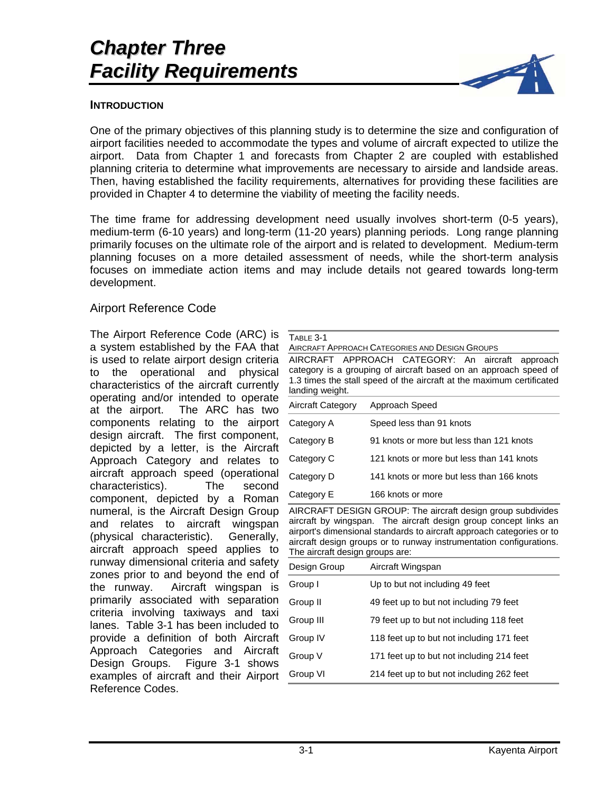# *Chapter Three Facility Requirements*



### **INTRODUCTION**

One of the primary objectives of this planning study is to determine the size and configuration of airport facilities needed to accommodate the types and volume of aircraft expected to utilize the airport. Data from Chapter 1 and forecasts from Chapter 2 are coupled with established planning criteria to determine what improvements are necessary to airside and landside areas. Then, having established the facility requirements, alternatives for providing these facilities are provided in Chapter 4 to determine the viability of meeting the facility needs.

The time frame for addressing development need usually involves short-term (0-5 years), medium-term (6-10 years) and long-term (11-20 years) planning periods. Long range planning primarily focuses on the ultimate role of the airport and is related to development. Medium-term planning focuses on a more detailed assessment of needs, while the short-term analysis focuses on immediate action items and may include details not geared towards long-term development.

# Airport Reference Code

The Airport Reference Code (ARC) is a system established by the FAA that is used to relate airport design criteria to the operational and physical characteristics of the aircraft currently operating and/or intended to operate at the airport. The ARC has two components relating to the airport design aircraft. The first component, depicted by a letter, is the Aircraft Approach Category and relates to aircraft approach speed (operational characteristics). The second component, depicted by a Roman numeral, is the Aircraft Design Group and relates to aircraft wingspan (physical characteristic). Generally, aircraft approach speed applies to runway dimensional criteria and safety zones prior to and beyond the end of the runway. Aircraft wingspan is primarily associated with separation criteria involving taxiways and taxi lanes. Table 3-1 has been included to provide a definition of both Aircraft Approach Categories and Aircraft Design Groups. Figure 3-1 shows examples of aircraft and their Airport Reference Codes.

AIRCRAFT APPROACH CATEGORIES AND DESIGN GROUPS

AIRCRAFT APPROACH CATEGORY: An aircraft approach category is a grouping of aircraft based on an approach speed of 1.3 times the stall speed of the aircraft at the maximum certificated landing weight.

| Aircraft Category | Approach Speed                            |
|-------------------|-------------------------------------------|
| Category A        | Speed less than 91 knots                  |
| Category B        | 91 knots or more but less than 121 knots  |
| Category C        | 121 knots or more but less than 141 knots |
| Category D        | 141 knots or more but less than 166 knots |
| Category E        | 166 knots or more                         |

AIRCRAFT DESIGN GROUP: The aircraft design group subdivides aircraft by wingspan. The aircraft design group concept links an airport's dimensional standards to aircraft approach categories or to aircraft design groups or to runway instrumentation configurations. The aircraft design groups are:

| Design Group | Aircraft Wingspan                         |
|--------------|-------------------------------------------|
| Group I      | Up to but not including 49 feet           |
| Group II     | 49 feet up to but not including 79 feet   |
| Group III    | 79 feet up to but not including 118 feet  |
| Group IV     | 118 feet up to but not including 171 feet |
| Group V      | 171 feet up to but not including 214 feet |
| Group VI     | 214 feet up to but not including 262 feet |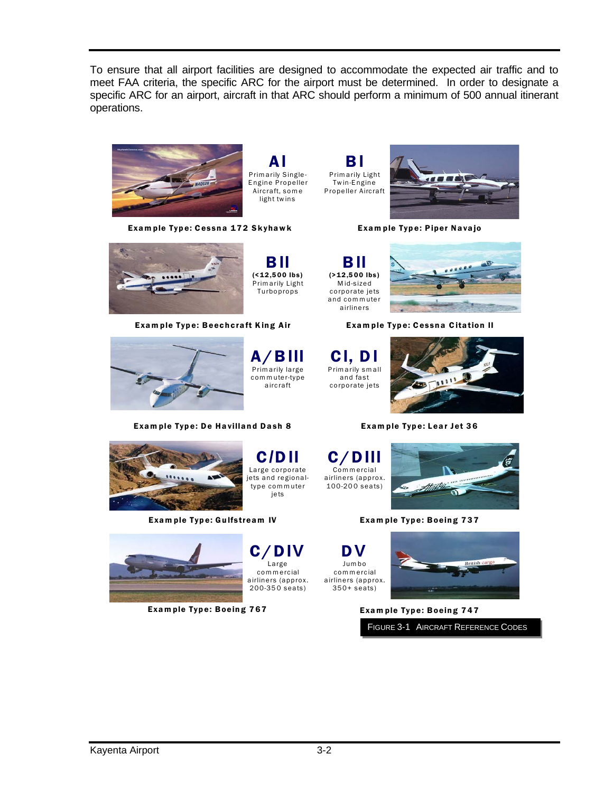To ensure that all airport facilities are designed to accommodate the expected air traffic and to meet FAA criteria, the specific ARC for the airport must be determined. In order to designate a specific ARC for an airport, aircraft in that ARC should perform a minimum of 500 annual itinerant operations.



light twins

A**I** P rim arily S ingle-E ngine Propeller Aircraft, som e

B**II**  $($ <12,500 lbs) Prim arily Light Turboprops

Exam ple Type: Cessna 172 Skyhawk

B**I** P rim arily Light Twin-Engine Propeller Aircraft

> B**II**  (>12,5 00 lbs) M id-sized corporate jets and com m uter airliners



Exam ple Type: Piper Navajo



Exam ple Type: Beechcraft King Air Exam ple Type: Cessna Citation II



A/B**III** Primarily large com m uter-type aircraft

C**/**D**II**  Large corporate jets and regionaltype com m uter iets

C/D**IV**  Large com m ercial airliners (approx. 200-35 0 seats)

Exam ple Type: De Havilland Dash 8 Exam ple Type: Lear Jet 36



Exam ple Type: Gulfstream IV Exam ple Type: Boeing 737



Exam ple Type: Boeing 767 Exam ple Type: Boeing 747



C**I**, D**I** P rim arily sm all and fast corporate jets



C/D**III** Com m ercial airliners (approx.  $100 - 200$  seats)



D**V**  Jumbo com m ercial airliners (approx. 350+ seats)



FIGURE 3-1 AIRCRAFT REFERENCE CODES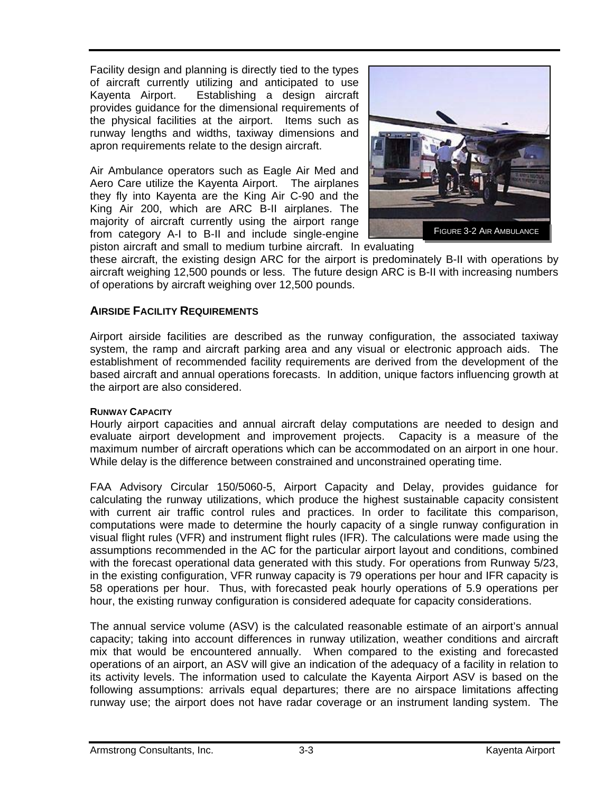Facility design and planning is directly tied to the types of aircraft currently utilizing and anticipated to use Kayenta Airport. Establishing a design aircraft provides guidance for the dimensional requirements of the physical facilities at the airport. Items such as runway lengths and widths, taxiway dimensions and apron requirements relate to the design aircraft.

Air Ambulance operators such as Eagle Air Med and Aero Care utilize the Kayenta Airport. The airplanes they fly into Kayenta are the King Air C-90 and the King Air 200, which are ARC B-II airplanes. The majority of aircraft currently using the airport range from category A-I to B-II and include single-engine



piston aircraft and small to medium turbine aircraft. In evaluating

these aircraft, the existing design ARC for the airport is predominately B-II with operations by aircraft weighing 12,500 pounds or less. The future design ARC is B-II with increasing numbers of operations by aircraft weighing over 12,500 pounds.

# **AIRSIDE FACILITY REQUIREMENTS**

Airport airside facilities are described as the runway configuration, the associated taxiway system, the ramp and aircraft parking area and any visual or electronic approach aids. The establishment of recommended facility requirements are derived from the development of the based aircraft and annual operations forecasts. In addition, unique factors influencing growth at the airport are also considered.

### **RUNWAY CAPACITY**

Hourly airport capacities and annual aircraft delay computations are needed to design and evaluate airport development and improvement projects. Capacity is a measure of the maximum number of aircraft operations which can be accommodated on an airport in one hour. While delay is the difference between constrained and unconstrained operating time.

FAA Advisory Circular 150/5060-5, Airport Capacity and Delay, provides guidance for calculating the runway utilizations, which produce the highest sustainable capacity consistent with current air traffic control rules and practices. In order to facilitate this comparison, computations were made to determine the hourly capacity of a single runway configuration in visual flight rules (VFR) and instrument flight rules (IFR). The calculations were made using the assumptions recommended in the AC for the particular airport layout and conditions, combined with the forecast operational data generated with this study. For operations from Runway 5/23, in the existing configuration, VFR runway capacity is 79 operations per hour and IFR capacity is 58 operations per hour. Thus, with forecasted peak hourly operations of 5.9 operations per hour, the existing runway configuration is considered adequate for capacity considerations.

The annual service volume (ASV) is the calculated reasonable estimate of an airport's annual capacity; taking into account differences in runway utilization, weather conditions and aircraft mix that would be encountered annually. When compared to the existing and forecasted operations of an airport, an ASV will give an indication of the adequacy of a facility in relation to its activity levels. The information used to calculate the Kayenta Airport ASV is based on the following assumptions: arrivals equal departures; there are no airspace limitations affecting runway use; the airport does not have radar coverage or an instrument landing system. The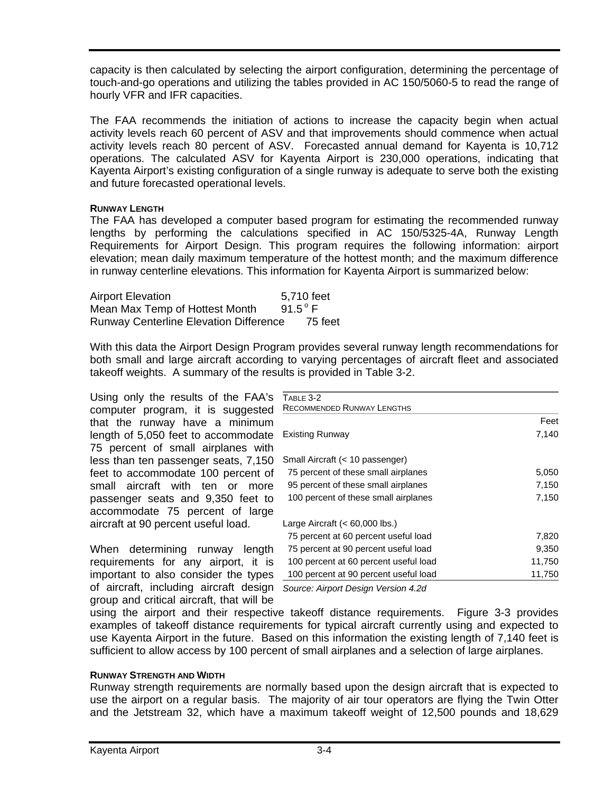capacity is then calculated by selecting the airport configuration, determining the percentage of touch-and-go operations and utilizing the tables provided in AC 150/5060-5 to read the range of hourly VFR and IFR capacities.

The FAA recommends the initiation of actions to increase the capacity begin when actual activity levels reach 60 percent of ASV and that improvements should commence when actual activity levels reach 80 percent of ASV. Forecasted annual demand for Kayenta is 10,712 operations. The calculated ASV for Kayenta Airport is 230,000 operations, indicating that Kayenta Airport's existing configuration of a single runway is adequate to serve both the existing and future forecasted operational levels.

#### **RUNWAY LENGTH**

The FAA has developed a computer based program for estimating the recommended runway lengths by performing the calculations specified in AC 150/5325-4A, Runway Length Requirements for Airport Design. This program requires the following information: airport elevation; mean daily maximum temperature of the hottest month; and the maximum difference in runway centerline elevations. This information for Kayenta Airport is summarized below:

| <b>Airport Elevation</b>                      | 5,710 feet       |
|-----------------------------------------------|------------------|
| Mean Max Temp of Hottest Month                | $91.5^{\circ}$ F |
| <b>Runway Centerline Elevation Difference</b> | 75 feet          |

With this data the Airport Design Program provides several runway length recommendations for both small and large aircraft according to varying percentages of aircraft fleet and associated takeoff weights. A summary of the results is provided in Table 3-2.

Using only the results of the FAA's computer program, it is suggested that the runway have a minimum length of 5,050 feet to accommodate 75 percent of small airplanes with less than ten passenger seats, 7,150 feet to accommodate 100 percent of small aircraft with ten or more passenger seats and 9,350 feet to accommodate 75 percent of large aircraft at 90 percent useful load.

When determining runway length requirements for any airport, it is important to also consider the types of aircraft, including aircraft design *Source: Airport Design Version 4.2d* group and critical aircraft, that will be

| TABLE 3-2                             |        |
|---------------------------------------|--------|
| <b>RECOMMENDED RUNWAY LENGTHS</b>     |        |
|                                       | Feet   |
| Existing Runway                       | 7,140  |
| Small Aircraft (< 10 passenger)       |        |
| 75 percent of these small airplanes   | 5,050  |
| 95 percent of these small airplanes   | 7,150  |
| 100 percent of these small airplanes  | 7,150  |
| Large Aircraft $(< 60,000$ lbs.)      |        |
| 75 percent at 60 percent useful load  | 7,820  |
| 75 percent at 90 percent useful load  | 9,350  |
| 100 percent at 60 percent useful load | 11,750 |
| 100 percent at 90 percent useful load | 11.750 |

using the airport and their respective takeoff distance requirements. Figure 3-3 provides examples of takeoff distance requirements for typical aircraft currently using and expected to use Kayenta Airport in the future. Based on this information the existing length of 7,140 feet is sufficient to allow access by 100 percent of small airplanes and a selection of large airplanes.

#### **RUNWAY STRENGTH AND WIDTH**

Runway strength requirements are normally based upon the design aircraft that is expected to use the airport on a regular basis. The majority of air tour operators are flying the Twin Otter and the Jetstream 32, which have a maximum takeoff weight of 12,500 pounds and 18,629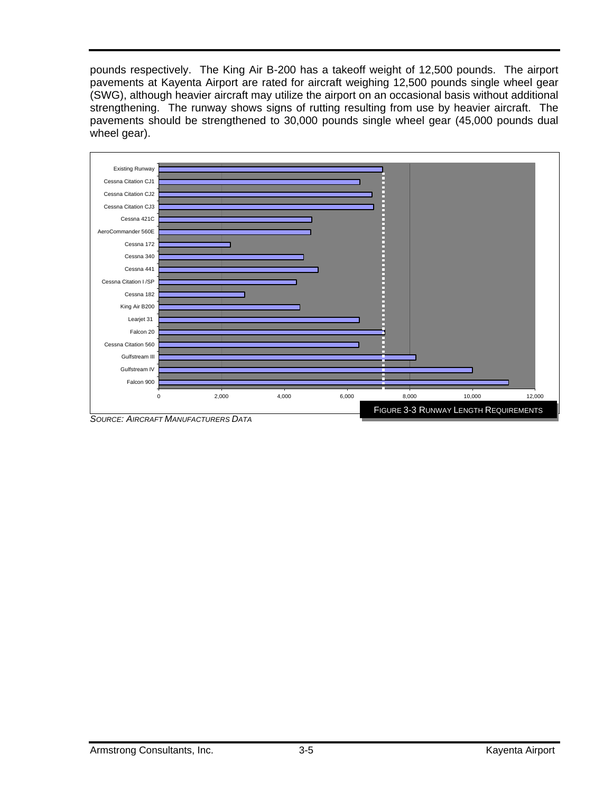pounds respectively. The King Air B-200 has a takeoff weight of 12,500 pounds. The airport pavements at Kayenta Airport are rated for aircraft weighing 12,500 pounds single wheel gear (SWG), although heavier aircraft may utilize the airport on an occasional basis without additional strengthening. The runway shows signs of rutting resulting from use by heavier aircraft. The pavements should be strengthened to 30,000 pounds single wheel gear (45,000 pounds dual wheel gear).



*SOURCE: AIRCRAFT MANUFACTURERS DATA*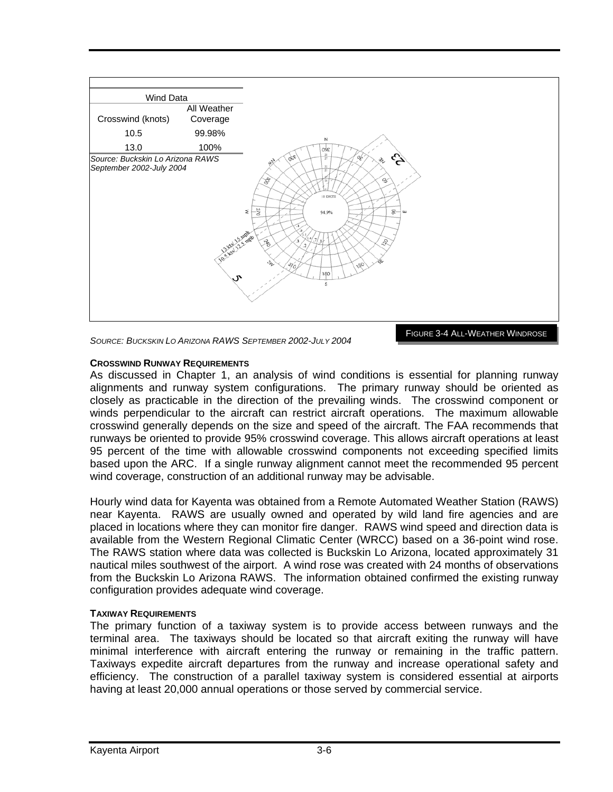

*SOURCE: BUCKSKIN LO ARIZONA RAWS SEPTEMBER 2002-JULY 2004*

FIGURE 3-4 ALL-WEATHER WINDROSE

#### **CROSSWIND RUNWAY REQUIREMENTS**

As discussed in Chapter 1, an analysis of wind conditions is essential for planning runway alignments and runway system configurations. The primary runway should be oriented as closely as practicable in the direction of the prevailing winds. The crosswind component or winds perpendicular to the aircraft can restrict aircraft operations. The maximum allowable crosswind generally depends on the size and speed of the aircraft. The FAA recommends that runways be oriented to provide 95% crosswind coverage. This allows aircraft operations at least 95 percent of the time with allowable crosswind components not exceeding specified limits based upon the ARC. If a single runway alignment cannot meet the recommended 95 percent wind coverage, construction of an additional runway may be advisable.

Hourly wind data for Kayenta was obtained from a Remote Automated Weather Station (RAWS) near Kayenta. RAWS are usually owned and operated by wild land fire agencies and are placed in locations where they can monitor fire danger. RAWS wind speed and direction data is available from the Western Regional Climatic Center (WRCC) based on a 36-point wind rose. The RAWS station where data was collected is Buckskin Lo Arizona, located approximately 31 nautical miles southwest of the airport. A wind rose was created with 24 months of observations from the Buckskin Lo Arizona RAWS. The information obtained confirmed the existing runway configuration provides adequate wind coverage.

### **TAXIWAY REQUIREMENTS**

The primary function of a taxiway system is to provide access between runways and the terminal area. The taxiways should be located so that aircraft exiting the runway will have minimal interference with aircraft entering the runway or remaining in the traffic pattern. Taxiways expedite aircraft departures from the runway and increase operational safety and efficiency. The construction of a parallel taxiway system is considered essential at airports having at least 20,000 annual operations or those served by commercial service.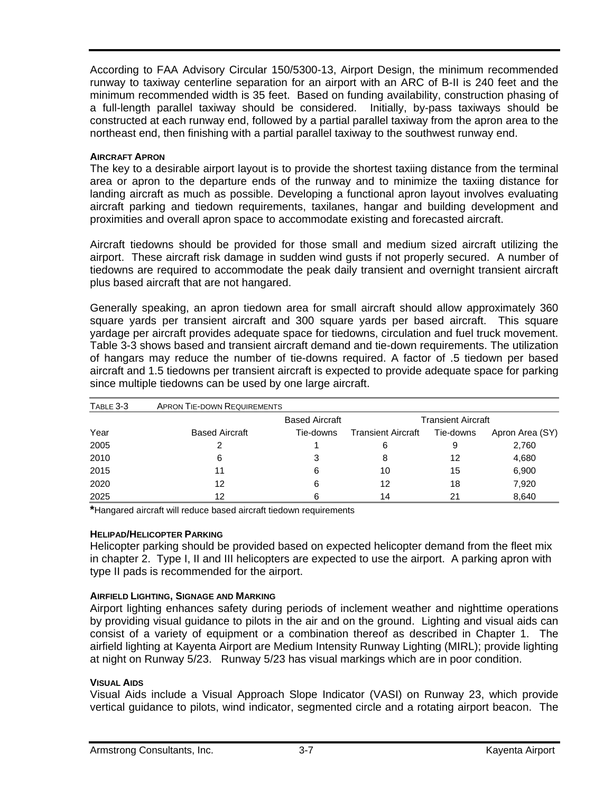According to FAA Advisory Circular 150/5300-13, Airport Design, the minimum recommended runway to taxiway centerline separation for an airport with an ARC of B-II is 240 feet and the minimum recommended width is 35 feet. Based on funding availability, construction phasing of a full-length parallel taxiway should be considered. Initially, by-pass taxiways should be constructed at each runway end, followed by a partial parallel taxiway from the apron area to the northeast end, then finishing with a partial parallel taxiway to the southwest runway end.

#### **AIRCRAFT APRON**

The key to a desirable airport layout is to provide the shortest taxiing distance from the terminal area or apron to the departure ends of the runway and to minimize the taxiing distance for landing aircraft as much as possible. Developing a functional apron layout involves evaluating aircraft parking and tiedown requirements, taxilanes, hangar and building development and proximities and overall apron space to accommodate existing and forecasted aircraft.

Aircraft tiedowns should be provided for those small and medium sized aircraft utilizing the airport. These aircraft risk damage in sudden wind gusts if not properly secured. A number of tiedowns are required to accommodate the peak daily transient and overnight transient aircraft plus based aircraft that are not hangared.

Generally speaking, an apron tiedown area for small aircraft should allow approximately 360 square yards per transient aircraft and 300 square yards per based aircraft. This square yardage per aircraft provides adequate space for tiedowns, circulation and fuel truck movement. Table 3-3 shows based and transient aircraft demand and tie-down requirements. The utilization of hangars may reduce the number of tie-downs required. A factor of .5 tiedown per based aircraft and 1.5 tiedowns per transient aircraft is expected to provide adequate space for parking since multiple tiedowns can be used by one large aircraft.

| TABLE 3-3 | <b>APRON TIE-DOWN REQUIREMENTS</b> |                       |                           |           |                 |
|-----------|------------------------------------|-----------------------|---------------------------|-----------|-----------------|
|           |                                    | <b>Based Aircraft</b> | <b>Transient Aircraft</b> |           |                 |
| Year      | <b>Based Aircraft</b>              | Tie-downs             | <b>Transient Aircraft</b> | Tie-downs | Apron Area (SY) |
| 2005      |                                    |                       | 6                         | 9         | 2,760           |
| 2010      | 6                                  | 3                     | 8                         | 12        | 4,680           |
| 2015      | 11                                 | 6                     | 10                        | 15        | 6,900           |
| 2020      | 12                                 | 6                     | 12                        | 18        | 7,920           |
| 2025      | 12                                 | 6                     | 14                        | 21        | 8,640           |

**\***Hangared aircraft will reduce based aircraft tiedown requirements

### **HELIPAD/HELICOPTER PARKING**

Helicopter parking should be provided based on expected helicopter demand from the fleet mix in chapter 2. Type I, II and III helicopters are expected to use the airport. A parking apron with type II pads is recommended for the airport.

### **AIRFIELD LIGHTING, SIGNAGE AND MARKING**

Airport lighting enhances safety during periods of inclement weather and nighttime operations by providing visual guidance to pilots in the air and on the ground. Lighting and visual aids can consist of a variety of equipment or a combination thereof as described in Chapter 1. The airfield lighting at Kayenta Airport are Medium Intensity Runway Lighting (MIRL); provide lighting at night on Runway 5/23. Runway 5/23 has visual markings which are in poor condition.

#### **VISUAL AIDS**

Visual Aids include a Visual Approach Slope Indicator (VASI) on Runway 23, which provide vertical guidance to pilots, wind indicator, segmented circle and a rotating airport beacon. The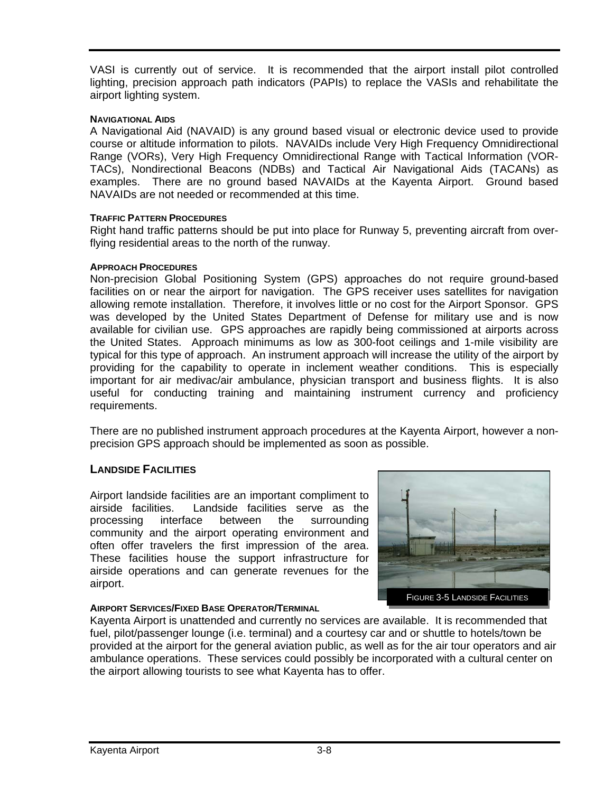VASI is currently out of service. It is recommended that the airport install pilot controlled lighting, precision approach path indicators (PAPIs) to replace the VASIs and rehabilitate the airport lighting system.

#### **NAVIGATIONAL AIDS**

A Navigational Aid (NAVAID) is any ground based visual or electronic device used to provide course or altitude information to pilots. NAVAIDs include Very High Frequency Omnidirectional Range (VORs), Very High Frequency Omnidirectional Range with Tactical Information (VOR-TACs), Nondirectional Beacons (NDBs) and Tactical Air Navigational Aids (TACANs) as examples. There are no ground based NAVAIDs at the Kayenta Airport. Ground based NAVAIDs are not needed or recommended at this time.

### **TRAFFIC PATTERN PROCEDURES**

Right hand traffic patterns should be put into place for Runway 5, preventing aircraft from overflying residential areas to the north of the runway.

#### **APPROACH PROCEDURES**

Non-precision Global Positioning System (GPS) approaches do not require ground-based facilities on or near the airport for navigation. The GPS receiver uses satellites for navigation allowing remote installation. Therefore, it involves little or no cost for the Airport Sponsor. GPS was developed by the United States Department of Defense for military use and is now available for civilian use. GPS approaches are rapidly being commissioned at airports across the United States. Approach minimums as low as 300-foot ceilings and 1-mile visibility are typical for this type of approach. An instrument approach will increase the utility of the airport by providing for the capability to operate in inclement weather conditions. This is especially important for air medivac/air ambulance, physician transport and business flights. It is also useful for conducting training and maintaining instrument currency and proficiency requirements.

There are no published instrument approach procedures at the Kayenta Airport, however a nonprecision GPS approach should be implemented as soon as possible.

### **LANDSIDE FACILITIES**

Airport landside facilities are an important compliment to airside facilities. Landside facilities serve as the processing interface between the surrounding community and the airport operating environment and often offer travelers the first impression of the area. These facilities house the support infrastructure for airside operations and can generate revenues for the airport.

### **AIRPORT SERVICES/FIXED BASE OPERATOR/TERMINAL**



Kayenta Airport is unattended and currently no services are available. It is recommended that fuel, pilot/passenger lounge (i.e. terminal) and a courtesy car and or shuttle to hotels/town be provided at the airport for the general aviation public, as well as for the air tour operators and air ambulance operations. These services could possibly be incorporated with a cultural center on the airport allowing tourists to see what Kayenta has to offer.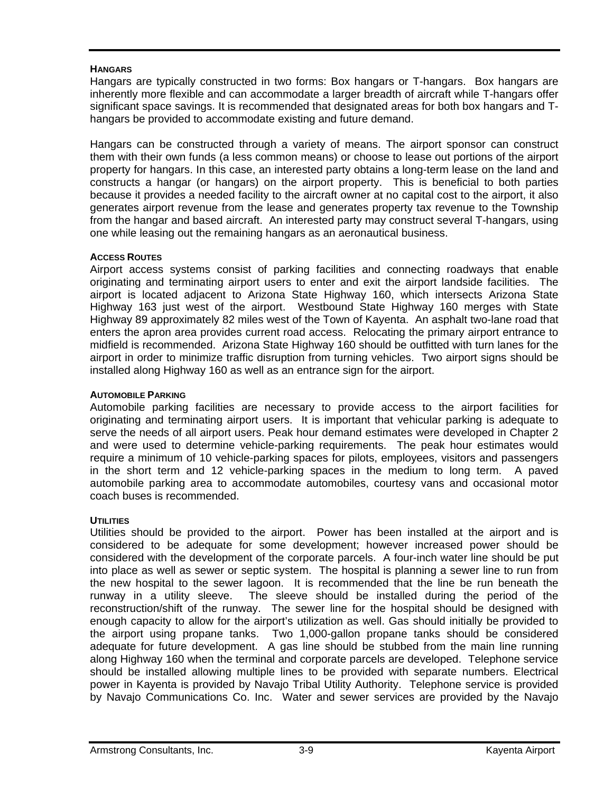# **HANGARS**

Hangars are typically constructed in two forms: Box hangars or T-hangars. Box hangars are inherently more flexible and can accommodate a larger breadth of aircraft while T-hangars offer significant space savings. It is recommended that designated areas for both box hangars and Thangars be provided to accommodate existing and future demand.

Hangars can be constructed through a variety of means. The airport sponsor can construct them with their own funds (a less common means) or choose to lease out portions of the airport property for hangars. In this case, an interested party obtains a long-term lease on the land and constructs a hangar (or hangars) on the airport property. This is beneficial to both parties because it provides a needed facility to the aircraft owner at no capital cost to the airport, it also generates airport revenue from the lease and generates property tax revenue to the Township from the hangar and based aircraft. An interested party may construct several T-hangars, using one while leasing out the remaining hangars as an aeronautical business.

# **ACCESS ROUTES**

Airport access systems consist of parking facilities and connecting roadways that enable originating and terminating airport users to enter and exit the airport landside facilities. The airport is located adjacent to Arizona State Highway 160, which intersects Arizona State Highway 163 just west of the airport. Westbound State Highway 160 merges with State Highway 89 approximately 82 miles west of the Town of Kayenta. An asphalt two-lane road that enters the apron area provides current road access. Relocating the primary airport entrance to midfield is recommended. Arizona State Highway 160 should be outfitted with turn lanes for the airport in order to minimize traffic disruption from turning vehicles. Two airport signs should be installed along Highway 160 as well as an entrance sign for the airport.

# **AUTOMOBILE PARKING**

Automobile parking facilities are necessary to provide access to the airport facilities for originating and terminating airport users. It is important that vehicular parking is adequate to serve the needs of all airport users. Peak hour demand estimates were developed in Chapter 2 and were used to determine vehicle-parking requirements. The peak hour estimates would require a minimum of 10 vehicle-parking spaces for pilots, employees, visitors and passengers in the short term and 12 vehicle-parking spaces in the medium to long term. A paved automobile parking area to accommodate automobiles, courtesy vans and occasional motor coach buses is recommended.

# **UTILITIES**

Utilities should be provided to the airport. Power has been installed at the airport and is considered to be adequate for some development; however increased power should be considered with the development of the corporate parcels. A four-inch water line should be put into place as well as sewer or septic system. The hospital is planning a sewer line to run from the new hospital to the sewer lagoon. It is recommended that the line be run beneath the runway in a utility sleeve. The sleeve should be installed during the period of the reconstruction/shift of the runway. The sewer line for the hospital should be designed with enough capacity to allow for the airport's utilization as well. Gas should initially be provided to the airport using propane tanks. Two 1,000-gallon propane tanks should be considered adequate for future development. A gas line should be stubbed from the main line running along Highway 160 when the terminal and corporate parcels are developed. Telephone service should be installed allowing multiple lines to be provided with separate numbers. Electrical power in Kayenta is provided by Navajo Tribal Utility Authority. Telephone service is provided by Navajo Communications Co. Inc. Water and sewer services are provided by the Navajo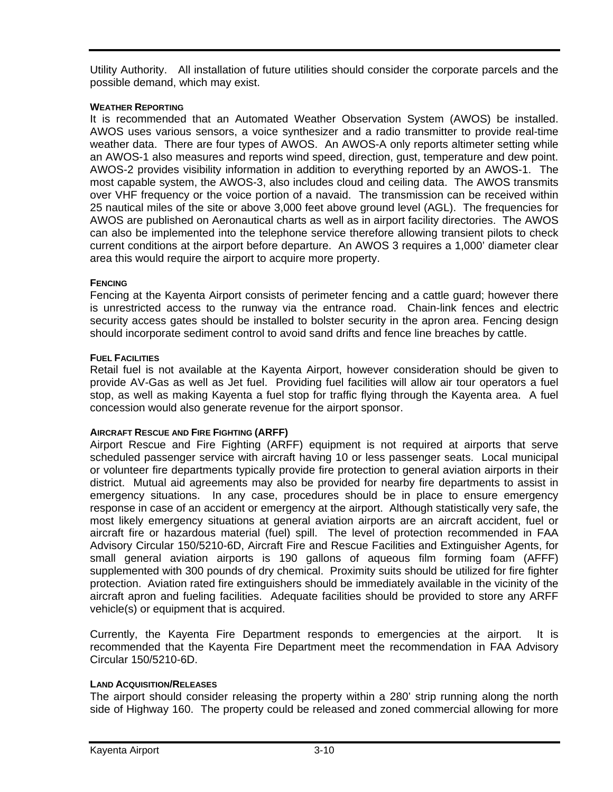Utility Authority. All installation of future utilities should consider the corporate parcels and the possible demand, which may exist.

### **WEATHER REPORTING**

It is recommended that an Automated Weather Observation System (AWOS) be installed. AWOS uses various sensors, a voice synthesizer and a radio transmitter to provide real-time weather data. There are four types of AWOS. An AWOS-A only reports altimeter setting while an AWOS-1 also measures and reports wind speed, direction, gust, temperature and dew point. AWOS-2 provides visibility information in addition to everything reported by an AWOS-1. The most capable system, the AWOS-3, also includes cloud and ceiling data. The AWOS transmits over VHF frequency or the voice portion of a navaid. The transmission can be received within 25 nautical miles of the site or above 3,000 feet above ground level (AGL). The frequencies for AWOS are published on Aeronautical charts as well as in airport facility directories. The AWOS can also be implemented into the telephone service therefore allowing transient pilots to check current conditions at the airport before departure. An AWOS 3 requires a 1,000' diameter clear area this would require the airport to acquire more property.

### **FENCING**

Fencing at the Kayenta Airport consists of perimeter fencing and a cattle guard; however there is unrestricted access to the runway via the entrance road. Chain-link fences and electric security access gates should be installed to bolster security in the apron area. Fencing design should incorporate sediment control to avoid sand drifts and fence line breaches by cattle.

#### **FUEL FACILITIES**

Retail fuel is not available at the Kayenta Airport, however consideration should be given to provide AV-Gas as well as Jet fuel. Providing fuel facilities will allow air tour operators a fuel stop, as well as making Kayenta a fuel stop for traffic flying through the Kayenta area. A fuel concession would also generate revenue for the airport sponsor.

### **AIRCRAFT RESCUE AND FIRE FIGHTING (ARFF)**

Airport Rescue and Fire Fighting (ARFF) equipment is not required at airports that serve scheduled passenger service with aircraft having 10 or less passenger seats. Local municipal or volunteer fire departments typically provide fire protection to general aviation airports in their district. Mutual aid agreements may also be provided for nearby fire departments to assist in emergency situations. In any case, procedures should be in place to ensure emergency response in case of an accident or emergency at the airport. Although statistically very safe, the most likely emergency situations at general aviation airports are an aircraft accident, fuel or aircraft fire or hazardous material (fuel) spill. The level of protection recommended in FAA Advisory Circular 150/5210-6D, Aircraft Fire and Rescue Facilities and Extinguisher Agents, for small general aviation airports is 190 gallons of aqueous film forming foam (AFFF) supplemented with 300 pounds of dry chemical. Proximity suits should be utilized for fire fighter protection. Aviation rated fire extinguishers should be immediately available in the vicinity of the aircraft apron and fueling facilities. Adequate facilities should be provided to store any ARFF vehicle(s) or equipment that is acquired.

Currently, the Kayenta Fire Department responds to emergencies at the airport. It is recommended that the Kayenta Fire Department meet the recommendation in FAA Advisory Circular 150/5210-6D.

### **LAND ACQUISITION/RELEASES**

The airport should consider releasing the property within a 280' strip running along the north side of Highway 160. The property could be released and zoned commercial allowing for more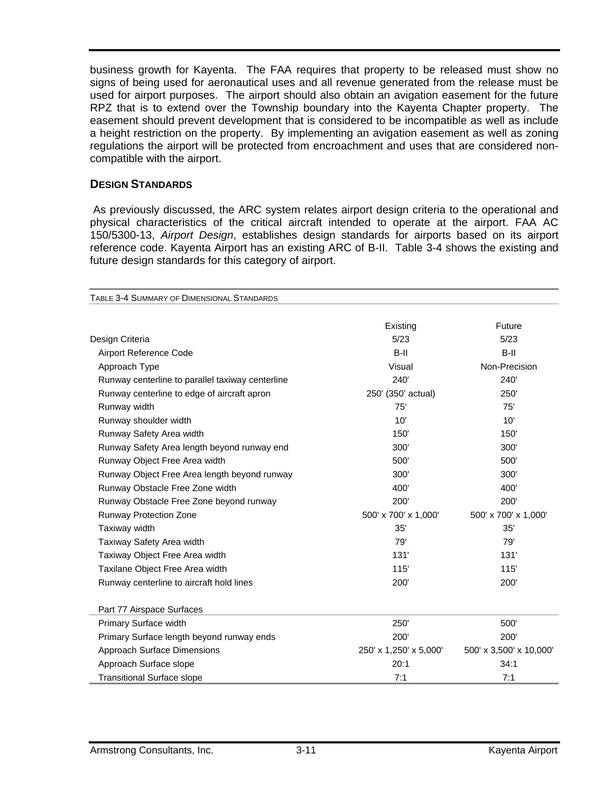business growth for Kayenta. The FAA requires that property to be released must show no signs of being used for aeronautical uses and all revenue generated from the release must be used for airport purposes. The airport should also obtain an avigation easement for the future RPZ that is to extend over the Township boundary into the Kayenta Chapter property. The easement should prevent development that is considered to be incompatible as well as include a height restriction on the property. By implementing an avigation easement as well as zoning regulations the airport will be protected from encroachment and uses that are considered noncompatible with the airport.

# **DESIGN STANDARDS**

 As previously discussed, the ARC system relates airport design criteria to the operational and physical characteristics of the critical aircraft intended to operate at the airport. FAA AC 150/5300-13, *Airport Design*, establishes design standards for airports based on its airport reference code. Kayenta Airport has an existing ARC of B-II. Table 3-4 shows the existing and future design standards for this category of airport.

| TABLE 3-4 SUMMARY OF DIMENSIONAL STANDARDS       |                        |                         |
|--------------------------------------------------|------------------------|-------------------------|
|                                                  | Existing               | Future                  |
| Design Criteria                                  | 5/23                   | 5/23                    |
| Airport Reference Code                           | $B-II$                 | $B-II$                  |
| Approach Type                                    | Visual                 | Non-Precision           |
| Runway centerline to parallel taxiway centerline | 240'                   | 240'                    |
| Runway centerline to edge of aircraft apron      | 250' (350' actual)     | 250'                    |
| Runway width                                     | 75'                    | 75'                     |
| Runway shoulder width                            | 10'                    | 10'                     |
| Runway Safety Area width                         | 150'                   | 150'                    |
| Runway Safety Area length beyond runway end      | 300'                   | 300'                    |
| Runway Object Free Area width                    | 500'                   | 500'                    |
| Runway Object Free Area length beyond runway     | 300'                   | 300'                    |
| Runway Obstacle Free Zone width                  | 400'                   | 400'                    |
| Runway Obstacle Free Zone beyond runway          | 200'                   | 200'                    |
| <b>Runway Protection Zone</b>                    | 500' x 700' x 1,000'   | 500' x 700' x 1,000'    |
| Taxiway width                                    | 35'                    | 35'                     |
| Taxiway Safety Area width                        | 79'                    | 79'                     |
| Taxiway Object Free Area width                   | 131'                   | 131'                    |
| Taxilane Object Free Area width                  | 115'                   | 115'                    |
| Runway centerline to aircraft hold lines         | 200'                   | 200'                    |
|                                                  |                        |                         |
| Part 77 Airspace Surfaces                        |                        |                         |
| Primary Surface width                            | 250'                   | 500'                    |
| Primary Surface length beyond runway ends        | 200'                   | 200'                    |
| <b>Approach Surface Dimensions</b>               | 250' x 1,250' x 5,000' | 500' x 3,500' x 10,000' |
| Approach Surface slope                           | 20:1                   | 34:1                    |
| <b>Transitional Surface slope</b>                | 7:1                    | 7:1                     |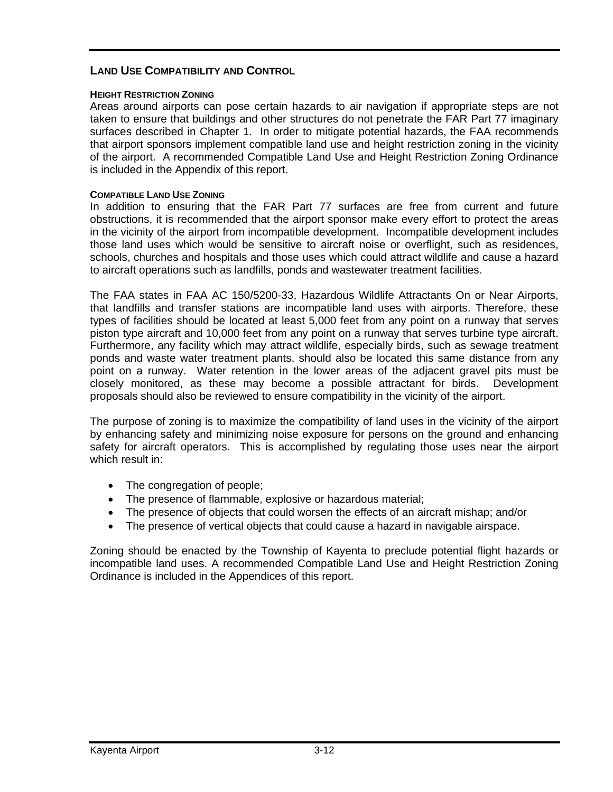# **LAND USE COMPATIBILITY AND CONTROL**

#### **HEIGHT RESTRICTION ZONING**

Areas around airports can pose certain hazards to air navigation if appropriate steps are not taken to ensure that buildings and other structures do not penetrate the FAR Part 77 imaginary surfaces described in Chapter 1. In order to mitigate potential hazards, the FAA recommends that airport sponsors implement compatible land use and height restriction zoning in the vicinity of the airport. A recommended Compatible Land Use and Height Restriction Zoning Ordinance is included in the Appendix of this report.

#### **COMPATIBLE LAND USE ZONING**

In addition to ensuring that the FAR Part 77 surfaces are free from current and future obstructions, it is recommended that the airport sponsor make every effort to protect the areas in the vicinity of the airport from incompatible development. Incompatible development includes those land uses which would be sensitive to aircraft noise or overflight, such as residences, schools, churches and hospitals and those uses which could attract wildlife and cause a hazard to aircraft operations such as landfills, ponds and wastewater treatment facilities.

The FAA states in FAA AC 150/5200-33, Hazardous Wildlife Attractants On or Near Airports, that landfills and transfer stations are incompatible land uses with airports. Therefore, these types of facilities should be located at least 5,000 feet from any point on a runway that serves piston type aircraft and 10,000 feet from any point on a runway that serves turbine type aircraft. Furthermore, any facility which may attract wildlife, especially birds, such as sewage treatment ponds and waste water treatment plants, should also be located this same distance from any point on a runway. Water retention in the lower areas of the adjacent gravel pits must be closely monitored, as these may become a possible attractant for birds. Development proposals should also be reviewed to ensure compatibility in the vicinity of the airport.

The purpose of zoning is to maximize the compatibility of land uses in the vicinity of the airport by enhancing safety and minimizing noise exposure for persons on the ground and enhancing safety for aircraft operators. This is accomplished by regulating those uses near the airport which result in:

- The congregation of people;
- The presence of flammable, explosive or hazardous material;
- The presence of objects that could worsen the effects of an aircraft mishap; and/or
- The presence of vertical objects that could cause a hazard in navigable airspace.

Zoning should be enacted by the Township of Kayenta to preclude potential flight hazards or incompatible land uses. A recommended Compatible Land Use and Height Restriction Zoning Ordinance is included in the Appendices of this report.